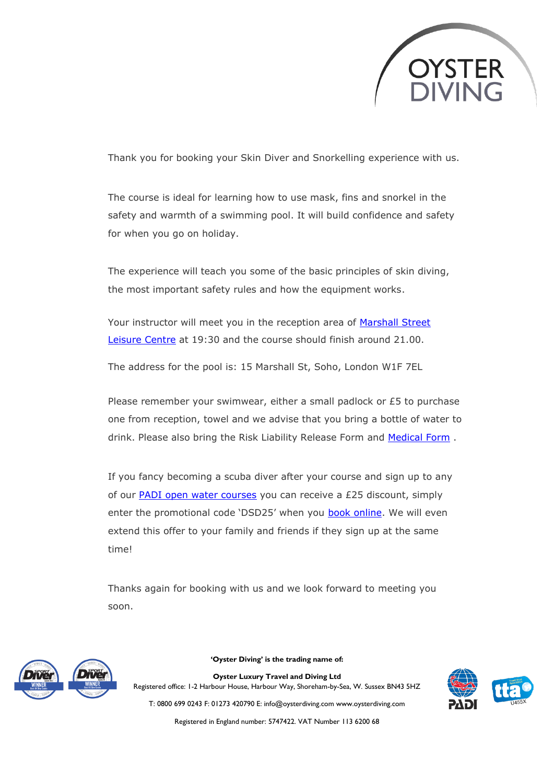

Thank you for booking your Skin Diver and Snorkelling experience with us.

The course is ideal for learning how to use mask, fins and snorkel in the safety and warmth of a swimming pool. It will build confidence and safety for when you go on holiday.

The experience will teach you some of the basic principles of skin diving, the most important safety rules and how the equipment works.

Your instructor will meet you in the reception area of [Marshall Street](https://www.google.com/maps/dir/marshall+street+leisure+centre/data=!4m6!4m5!1m1!4e2!1m2!1m1!1s0x487605c48455a6c3:0xbbc11968c5890d7f?sa=X&ved=2ahUKEwijl6a-goztAhXnQRUIHagiBb8Q9RcwF3oECBEQBQ)  [Leisure Centre](https://www.google.com/maps/dir/marshall+street+leisure+centre/data=!4m6!4m5!1m1!4e2!1m2!1m1!1s0x487605c48455a6c3:0xbbc11968c5890d7f?sa=X&ved=2ahUKEwijl6a-goztAhXnQRUIHagiBb8Q9RcwF3oECBEQBQ) at 19:30 and the course should finish around 21.00.

The address for the pool is: 15 Marshall St, Soho, London W1F 7EL

Please remember your swimwear, either a small padlock or £5 to purchase one from reception, towel and we advise that you bring a bottle of water to drink. Please also bring the Risk Liability Release Form and [Medical Form](https://oysterdiving.com/wp-content/uploads/2022/02/PADI-medical-form-2022.pdf) .

If you fancy becoming a scuba diver after your course and sign up to any of our [PADI open water courses](https://www.oysterdiving.com/padi-open-water/) you can receive a £25 discount, simply enter the promotional code 'DSD25' when you **book online**. We will even extend this offer to your family and friends if they sign up at the same time!

Thanks again for booking with us and we look forward to meeting you soon.



**'Oyster Diving' is the trading name of:**

**Oyster Luxury Travel and Diving Ltd** Registered office: 1-2 Harbour House, Harbour Way, Shoreham-by-Sea, W. Sussex BN43 5HZ



T: 0800 699 0243 F: 01273 420790 E: info@oysterdiving.com www.oysterdiving.com Registered in England number: 5747422. VAT Number 113 6200 68